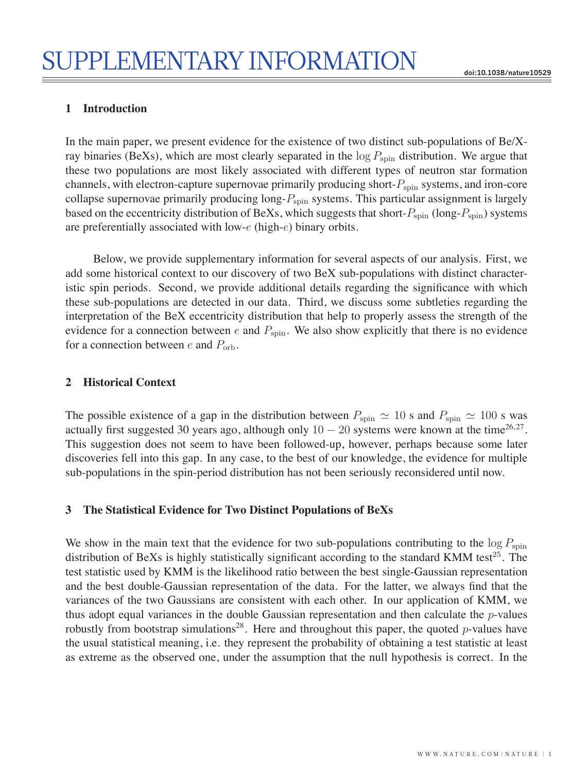## **1 Introduction**

In the main paper, we present evidence for the existence of two distinct sub-populations of Be/Xray binaries (BeXs), which are most clearly separated in the  $\log P_{\text{spin}}$  distribution. We argue that these two populations are most likely associated with different types of neutron star formation channels, with electron-capture supernovae primarily producing short- $P_{\text{spin}}$  systems, and iron-core collapse supernovae primarily producing  $\log P_{spin}$  systems. This particular assignment is largely based on the eccentricity distribution of BeXs, which suggests that short- $P_{spin}$  (long- $P_{spin}$ ) systems are preferentially associated with low-e (high-e) binary orbits.

Below, we provide supplementary information for several aspects of our analysis. First, we add some historical context to our discovery of two BeX sub-populations with distinct characteristic spin periods. Second, we provide additional details regarding the significance with which these sub-populations are detected in our data. Third, we discuss some subtleties regarding the interpretation of the BeX eccentricity distribution that help to properly assess the strength of the evidence for a connection between  $e$  and  $P_{spin}$ . We also show explicitly that there is no evidence for a connection between e and  $P_{\text{orb}}$ .

## **2 Historical Context**

The possible existence of a gap in the distribution between  $P_{spin} \simeq 10$  s and  $P_{spin} \simeq 100$  s was actually first suggested 30 years ago, although only  $10 - 20$  systems were known at the time<sup>26,27</sup>. This suggestion does not seem to have been followed-up, however, perhaps because some later discoveries fell into this gap. In any case, to the best of our knowledge, the evidence for multiple sub-populations in the spin-period distribution has not been seriously reconsidered until now.

## **3 The Statistical Evidence for Two Distinct Populations of BeXs**

We show in the main text that the evidence for two sub-populations contributing to the  $\log P_{\text{spin}}$ distribution of BeXs is highly statistically significant according to the standard KMM test<sup>25</sup>. The test statistic used by KMM is the likelihood ratio between the best single-Gaussian representation and the best double-Gaussian representation of the data. For the latter, we always find that the variances of the two Gaussians are consistent with each other. In our application of KMM, we thus adopt equal variances in the double Gaussian representation and then calculate the  $p$ -values robustly from bootstrap simulations<sup>28</sup>. Here and throughout this paper, the quoted *p*-values have the usual statistical meaning, i.e. they represent the probability of obtaining a test statistic at least as extreme as the observed one, under the assumption that the null hypothesis is correct. In the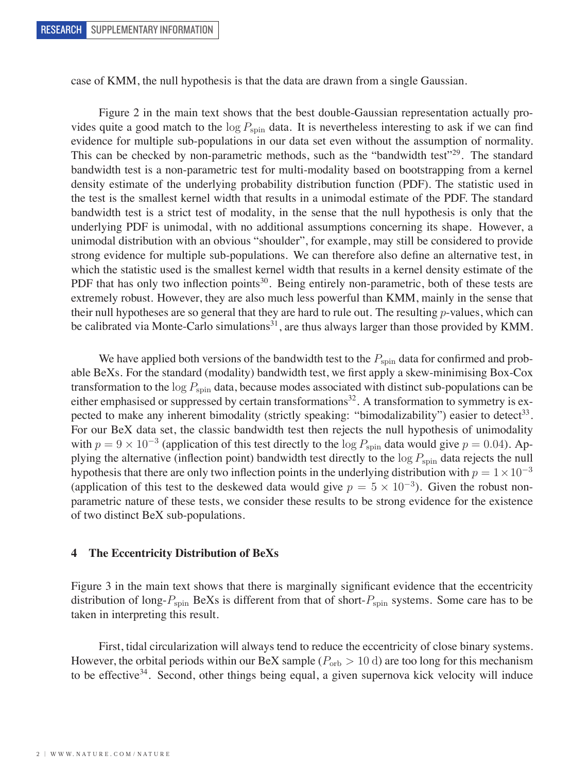case of KMM, the null hypothesis is that the data are drawn from a single Gaussian.

Figure 2 in the main text shows that the best double-Gaussian representation actually provides quite a good match to the  $\log P_{\text{spin}}$  data. It is nevertheless interesting to ask if we can find evidence for multiple sub-populations in our data set even without the assumption of normality. This can be checked by non-parametric methods, such as the "bandwidth test"<sup>29</sup>. The standard bandwidth test is a non-parametric test for multi-modality based on bootstrapping from a kernel density estimate of the underlying probability distribution function (PDF). The statistic used in the test is the smallest kernel width that results in a unimodal estimate of the PDF. The standard bandwidth test is a strict test of modality, in the sense that the null hypothesis is only that the underlying PDF is unimodal, with no additional assumptions concerning its shape. However, a unimodal distribution with an obvious "shoulder", for example, may still be considered to provide strong evidence for multiple sub-populations. We can therefore also define an alternative test, in which the statistic used is the smallest kernel width that results in a kernel density estimate of the PDF that has only two inflection points<sup>30</sup>. Being entirely non-parametric, both of these tests are extremely robust. However, they are also much less powerful than KMM, mainly in the sense that their null hypotheses are so general that they are hard to rule out. The resulting  $p$ -values, which can be calibrated via Monte-Carlo simulations<sup>31</sup>, are thus always larger than those provided by KMM.

We have applied both versions of the bandwidth test to the  $P_{spin}$  data for confirmed and probable BeXs. For the standard (modality) bandwidth test, we first apply a skew-minimising Box-Cox transformation to the  $\log P_{\text{spin}}$  data, because modes associated with distinct sub-populations can be either emphasised or suppressed by certain transformations<sup>32</sup>. A transformation to symmetry is expected to make any inherent bimodality (strictly speaking: "bimodalizability") easier to detect<sup>33</sup>. For our BeX data set, the classic bandwidth test then rejects the null hypothesis of unimodality with  $p = 9 \times 10^{-3}$  (application of this test directly to the log  $P_{\text{spin}}$  data would give  $p = 0.04$ ). Applying the alternative (inflection point) bandwidth test directly to the  $\log P_{\text{spin}}$  data rejects the null hypothesis that there are only two inflection points in the underlying distribution with  $p = 1 \times 10^{-3}$ (application of this test to the deskewed data would give  $p = 5 \times 10^{-3}$ ). Given the robust nonparametric nature of these tests, we consider these results to be strong evidence for the existence of two distinct BeX sub-populations.

## **4 The Eccentricity Distribution of BeXs**

Figure 3 in the main text shows that there is marginally significant evidence that the eccentricity distribution of long- $P_{spin}$  BeXs is different from that of short- $P_{spin}$  systems. Some care has to be taken in interpreting this result.

First, tidal circularization will always tend to reduce the eccentricity of close binary systems. However, the orbital periods within our BeX sample ( $P_{\rm orb} > 10$  d) are too long for this mechanism to be effective<sup>34</sup>. Second, other things being equal, a given supernova kick velocity will induce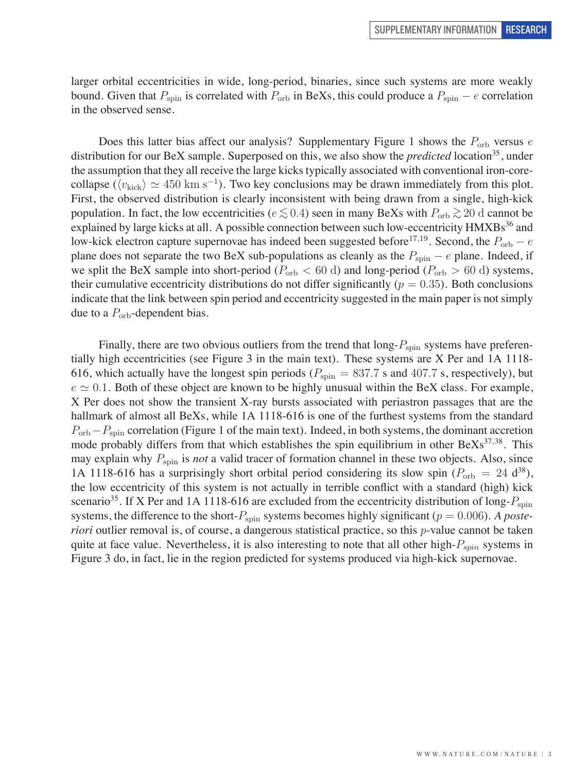larger orbital eccentricities in wide, long-period, binaries, since such systems are more weakly bound. Given that  $P_{\text{spin}}$  is correlated with  $P_{\text{orb}}$  in BeXs, this could produce a  $P_{\text{spin}} - e$  correlation in the observed sense.

Does this latter bias affect our analysis? Supplementary Figure 1 shows the  $P_{\text{orb}}$  versus e distribution for our BeX sample. Superposed on this, we also show the *predicted* location<sup>35</sup>, under the assumption that they all receive the large kicks typically associated with conventional iron-corecollapse ( $\langle v_{\text{kick}} \rangle \simeq 450 \text{ km s}^{-1}$ ). Two key conclusions may be drawn immediately from this plot. First, the observed distribution is clearly inconsistent with being drawn from a single, high-kick population. In fact, the low eccentricities ( $e \lesssim 0.4$ ) seen in many BeXs with  $P_{\text{orb}} \gtrsim 20$  d cannot be explained by large kicks at all. A possible connection between such low-eccentricity HMXBs<sup>36</sup> and low-kick electron capture supernovae has indeed been suggested before<sup>17,19</sup>. Second, the  $P_{\text{orb}} - e$ plane does not separate the two BeX sub-populations as cleanly as the  $P_{\text{spin}} - e$  plane. Indeed, if we split the BeX sample into short-period ( $P_{\rm orb} < 60$  d) and long-period ( $P_{\rm orb} > 60$  d) systems, their cumulative eccentricity distributions do not differ significantly ( $p = 0.35$ ). Both conclusions indicate that the link between spin period and eccentricity suggested in the main paper is not simply due to a  $P_{\rm orb}$ -dependent bias.

Finally, there are two obvious outliers from the trend that  $\log P_{\text{spin}}$  systems have preferentially high eccentricities (see Figure 3 in the main text). These systems are X Per and 1A 1118- 616, which actually have the longest spin periods ( $P_{\text{spin}} = 837.7$  s and 407.7 s, respectively), but  $e \simeq 0.1$ . Both of these object are known to be highly unusual within the BeX class. For example, X Per does not show the transient X-ray bursts associated with periastron passages that are the hallmark of almost all BeXs, while 1A 1118-616 is one of the furthest systems from the standard  $P_{\rm orb}-P_{\rm spin}$  correlation (Figure 1 of the main text). Indeed, in both systems, the dominant accretion mode probably differs from that which establishes the spin equilibrium in other  $BeXs^{37,38}$ . This may explain why  $P_{spin}$  is *not* a valid tracer of formation channel in these two objects. Also, since 1A 1118-616 has a surprisingly short orbital period considering its slow spin ( $P_{\rm orb} = 24$  d<sup>38</sup>), the low eccentricity of this system is not actually in terrible conflict with a standard (high) kick scenario<sup>35</sup>. If X Per and 1A 1118-616 are excluded from the eccentricity distribution of long- $P_{\text{spin}}$ systems, the difference to the short- $P_{spin}$  systems becomes highly significant ( $p = 0.006$ ). *A posteriori* outlier removal is, of course, a dangerous statistical practice, so this *p*-value cannot be taken quite at face value. Nevertheless, it is also interesting to note that all other high- $P_{spin}$  systems in Figure 3 do, in fact, lie in the region predicted for systems produced via high-kick supernovae.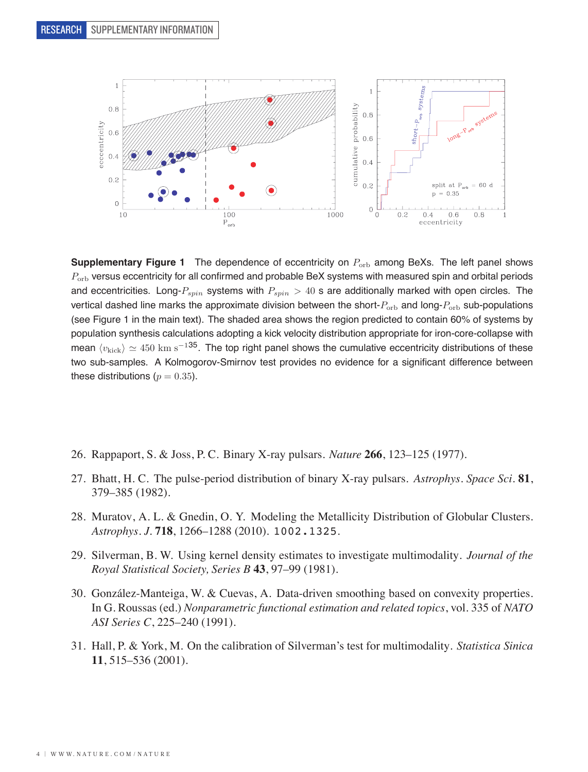

**Supplementary Figure 1** The dependence of eccentricity on  $P_{\text{orb}}$  among BeXs. The left panel shows  $P_{\rm orb}$  versus eccentricity for all confirmed and probable BeX systems with measured spin and orbital periods and eccentricities. Long- $P_{spin}$  systems with  $P_{spin} > 40$  s are additionally marked with open circles. The vertical dashed line marks the approximate division between the short- $P_{\rm orb}$  and long- $P_{\rm orb}$  sub-populations (see Figure 1 in the main text). The shaded area shows the region predicted to contain 60% of systems by population synthesis calculations adopting a kick velocity distribution appropriate for iron-core-collapse with mean  $\langle v_{\text{kick}}\rangle \simeq 450$  km s<sup>-135</sup>. The top right panel shows the cumulative eccentricity distributions of these two sub-samples. A Kolmogorov-Smirnov test provides no evidence for a significant difference between these distributions ( $p = 0.35$ ).

- 26. Rappaport, S. & Joss, P. C. Binary X-ray pulsars. *Nature* **266**, 123–125 (1977).
- 27. Bhatt, H. C. The pulse-period distribution of binary X-ray pulsars. *Astrophys. Space Sci.* **81**, 379–385 (1982).
- 28. Muratov, A. L. & Gnedin, O. Y. Modeling the Metallicity Distribution of Globular Clusters. *Astrophys. J.* **718**, 1266–1288 (2010). 1002.1325.
- 29. Silverman, B. W. Using kernel density estimates to investigate multimodality. *Journal of the Royal Statistical Society, Series B* **43**, 97–99 (1981).
- 30. González-Manteiga, W. & Cuevas, A. Data-driven smoothing based on convexity properties. In G. Roussas (ed.) *Nonparametric functional estimation and related topics*, vol. 335 of *NATO ASI Series C*, 225–240 (1991).
- 31. Hall, P. & York, M. On the calibration of Silverman's test for multimodality. *Statistica Sinica* **11**, 515–536 (2001).